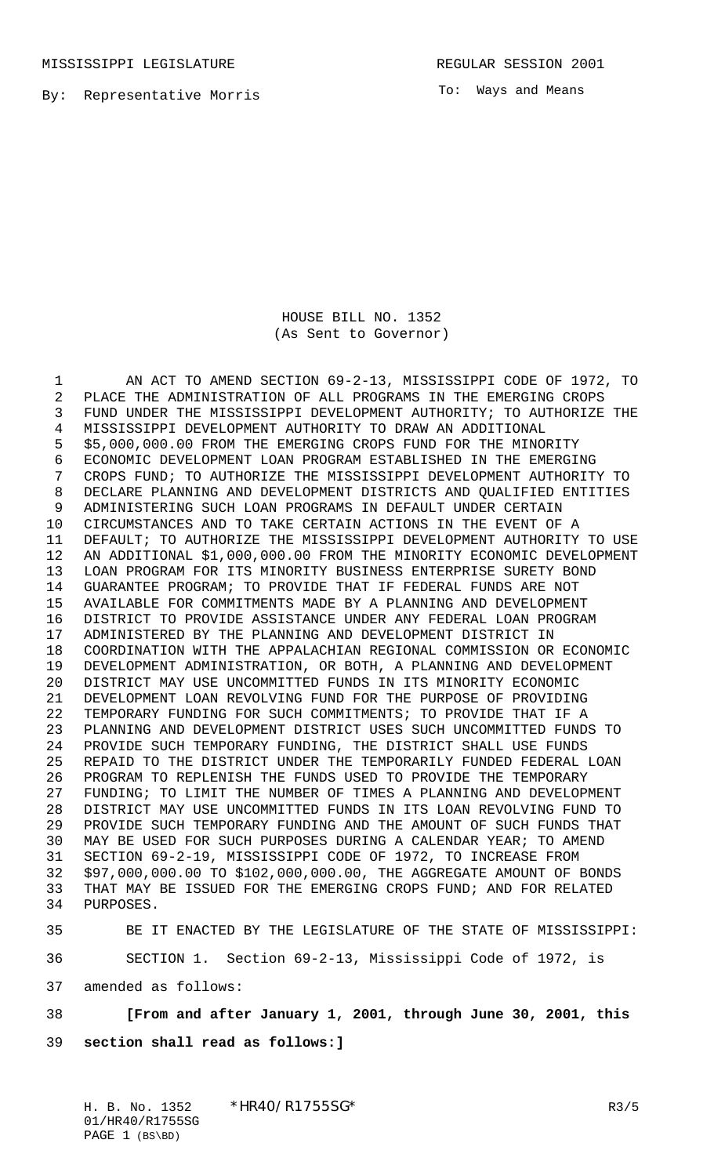MISSISSIPPI LEGISLATURE **REGULAR SESSION 2001** 

By: Representative Morris

To: Ways and Means

HOUSE BILL NO. 1352 (As Sent to Governor)

 AN ACT TO AMEND SECTION 69-2-13, MISSISSIPPI CODE OF 1972, TO PLACE THE ADMINISTRATION OF ALL PROGRAMS IN THE EMERGING CROPS FUND UNDER THE MISSISSIPPI DEVELOPMENT AUTHORITY; TO AUTHORIZE THE MISSISSIPPI DEVELOPMENT AUTHORITY TO DRAW AN ADDITIONAL \$5,000,000.00 FROM THE EMERGING CROPS FUND FOR THE MINORITY ECONOMIC DEVELOPMENT LOAN PROGRAM ESTABLISHED IN THE EMERGING CROPS FUND; TO AUTHORIZE THE MISSISSIPPI DEVELOPMENT AUTHORITY TO DECLARE PLANNING AND DEVELOPMENT DISTRICTS AND QUALIFIED ENTITIES ADMINISTERING SUCH LOAN PROGRAMS IN DEFAULT UNDER CERTAIN CIRCUMSTANCES AND TO TAKE CERTAIN ACTIONS IN THE EVENT OF A DEFAULT; TO AUTHORIZE THE MISSISSIPPI DEVELOPMENT AUTHORITY TO USE AN ADDITIONAL \$1,000,000.00 FROM THE MINORITY ECONOMIC DEVELOPMENT LOAN PROGRAM FOR ITS MINORITY BUSINESS ENTERPRISE SURETY BOND GUARANTEE PROGRAM; TO PROVIDE THAT IF FEDERAL FUNDS ARE NOT AVAILABLE FOR COMMITMENTS MADE BY A PLANNING AND DEVELOPMENT DISTRICT TO PROVIDE ASSISTANCE UNDER ANY FEDERAL LOAN PROGRAM ADMINISTERED BY THE PLANNING AND DEVELOPMENT DISTRICT IN COORDINATION WITH THE APPALACHIAN REGIONAL COMMISSION OR ECONOMIC DEVELOPMENT ADMINISTRATION, OR BOTH, A PLANNING AND DEVELOPMENT DISTRICT MAY USE UNCOMMITTED FUNDS IN ITS MINORITY ECONOMIC DEVELOPMENT LOAN REVOLVING FUND FOR THE PURPOSE OF PROVIDING TEMPORARY FUNDING FOR SUCH COMMITMENTS; TO PROVIDE THAT IF A PLANNING AND DEVELOPMENT DISTRICT USES SUCH UNCOMMITTED FUNDS TO PROVIDE SUCH TEMPORARY FUNDING, THE DISTRICT SHALL USE FUNDS REPAID TO THE DISTRICT UNDER THE TEMPORARILY FUNDED FEDERAL LOAN PROGRAM TO REPLENISH THE FUNDS USED TO PROVIDE THE TEMPORARY FUNDING; TO LIMIT THE NUMBER OF TIMES A PLANNING AND DEVELOPMENT DISTRICT MAY USE UNCOMMITTED FUNDS IN ITS LOAN REVOLVING FUND TO PROVIDE SUCH TEMPORARY FUNDING AND THE AMOUNT OF SUCH FUNDS THAT MAY BE USED FOR SUCH PURPOSES DURING A CALENDAR YEAR; TO AMEND SECTION 69-2-19, MISSISSIPPI CODE OF 1972, TO INCREASE FROM \$97,000,000.00 TO \$102,000,000.00, THE AGGREGATE AMOUNT OF BONDS THAT MAY BE ISSUED FOR THE EMERGING CROPS FUND; AND FOR RELATED PURPOSES.

BE IT ENACTED BY THE LEGISLATURE OF THE STATE OF MISSISSIPPI:

SECTION 1. Section 69-2-13, Mississippi Code of 1972, is

amended as follows:

## **[From and after January 1, 2001, through June 30, 2001, this**

**section shall read as follows:]**

H. B. No. 1352 \*HR40/R1755SG\* R3/5 01/HR40/R1755SG PAGE 1 (BS\BD)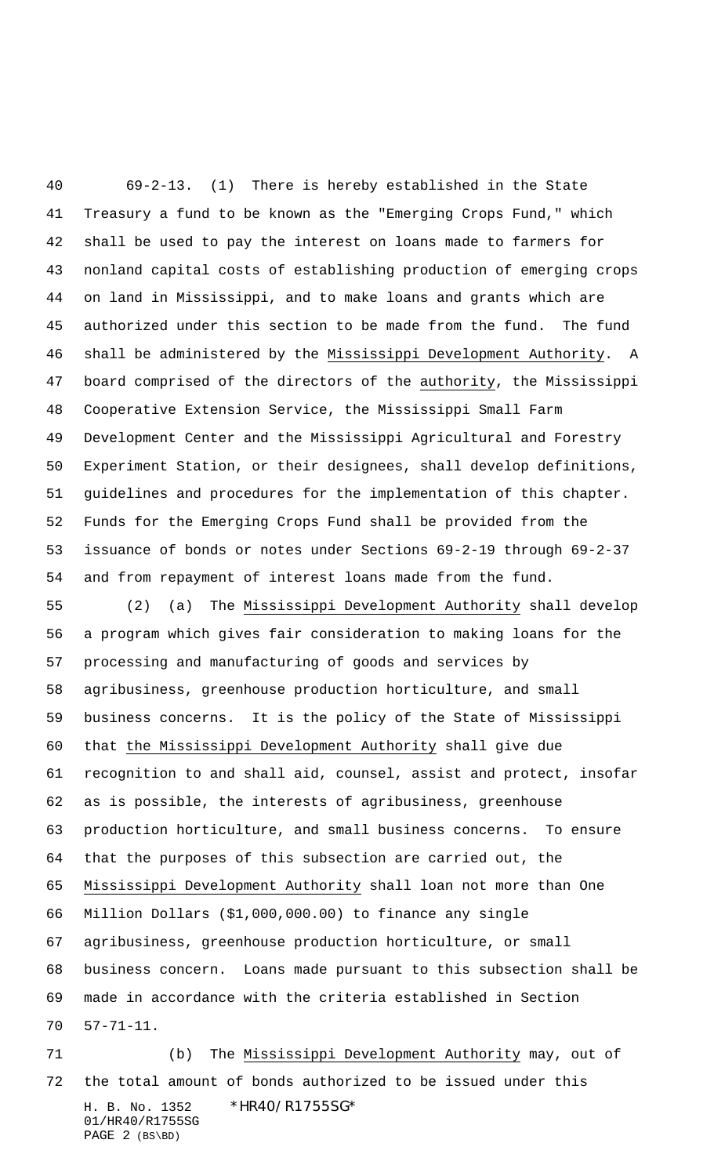69-2-13. (1) There is hereby established in the State Treasury a fund to be known as the "Emerging Crops Fund," which shall be used to pay the interest on loans made to farmers for nonland capital costs of establishing production of emerging crops on land in Mississippi, and to make loans and grants which are authorized under this section to be made from the fund. The fund shall be administered by the Mississippi Development Authority. A board comprised of the directors of the authority, the Mississippi Cooperative Extension Service, the Mississippi Small Farm Development Center and the Mississippi Agricultural and Forestry Experiment Station, or their designees, shall develop definitions, guidelines and procedures for the implementation of this chapter. Funds for the Emerging Crops Fund shall be provided from the issuance of bonds or notes under Sections 69-2-19 through 69-2-37 and from repayment of interest loans made from the fund.

 (2) (a) The Mississippi Development Authority shall develop a program which gives fair consideration to making loans for the processing and manufacturing of goods and services by agribusiness, greenhouse production horticulture, and small business concerns. It is the policy of the State of Mississippi that the Mississippi Development Authority shall give due recognition to and shall aid, counsel, assist and protect, insofar as is possible, the interests of agribusiness, greenhouse production horticulture, and small business concerns. To ensure that the purposes of this subsection are carried out, the Mississippi Development Authority shall loan not more than One Million Dollars (\$1,000,000.00) to finance any single agribusiness, greenhouse production horticulture, or small business concern. Loans made pursuant to this subsection shall be made in accordance with the criteria established in Section 57-71-11.

H. B. No. 1352 \*HR40/R1755SG\* 01/HR40/R1755SG PAGE 2 (BS\BD) 71 (b) The Mississippi Development Authority may, out of the total amount of bonds authorized to be issued under this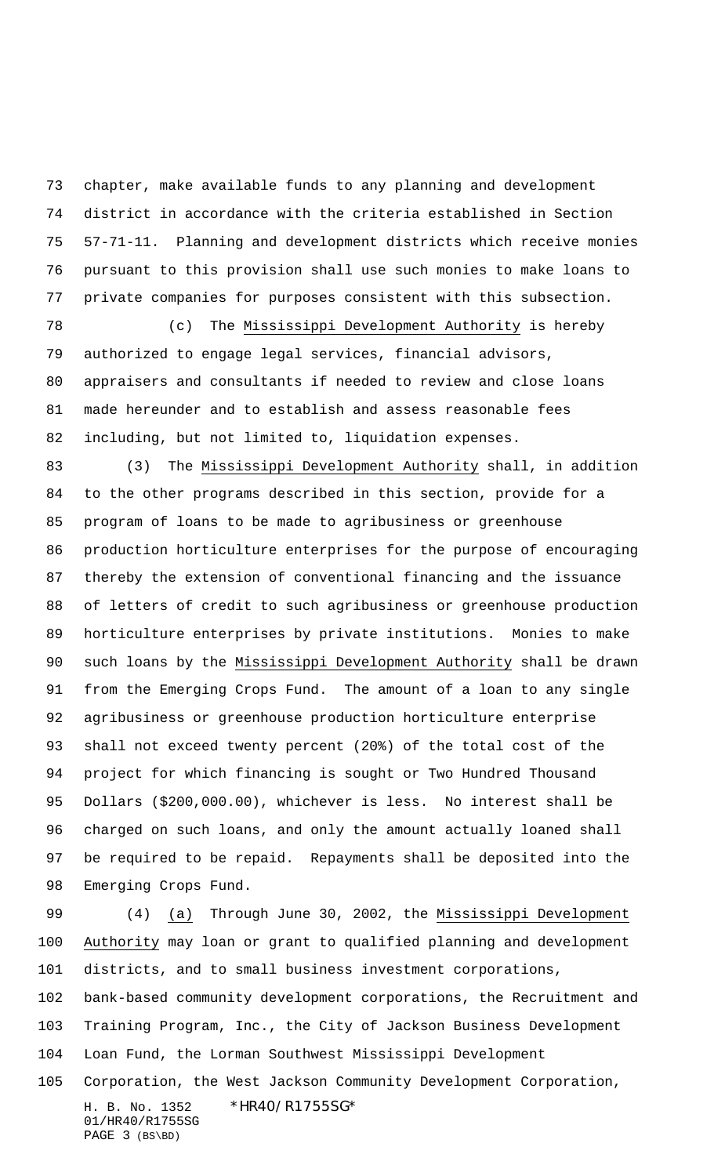chapter, make available funds to any planning and development district in accordance with the criteria established in Section 57-71-11. Planning and development districts which receive monies pursuant to this provision shall use such monies to make loans to private companies for purposes consistent with this subsection.

 (c) The Mississippi Development Authority is hereby authorized to engage legal services, financial advisors, appraisers and consultants if needed to review and close loans made hereunder and to establish and assess reasonable fees including, but not limited to, liquidation expenses.

83 (3) The Mississippi Development Authority shall, in addition to the other programs described in this section, provide for a program of loans to be made to agribusiness or greenhouse production horticulture enterprises for the purpose of encouraging thereby the extension of conventional financing and the issuance of letters of credit to such agribusiness or greenhouse production horticulture enterprises by private institutions. Monies to make 90 such loans by the Mississippi Development Authority shall be drawn from the Emerging Crops Fund. The amount of a loan to any single agribusiness or greenhouse production horticulture enterprise shall not exceed twenty percent (20%) of the total cost of the project for which financing is sought or Two Hundred Thousand Dollars (\$200,000.00), whichever is less. No interest shall be charged on such loans, and only the amount actually loaned shall be required to be repaid. Repayments shall be deposited into the Emerging Crops Fund.

 (4) (a) Through June 30, 2002, the Mississippi Development Authority may loan or grant to qualified planning and development districts, and to small business investment corporations,

 bank-based community development corporations, the Recruitment and Training Program, Inc., the City of Jackson Business Development Loan Fund, the Lorman Southwest Mississippi Development

H. B. No. 1352 \*HR40/R1755SG\* 01/HR40/R1755SG PAGE 3 (BS\BD) Corporation, the West Jackson Community Development Corporation,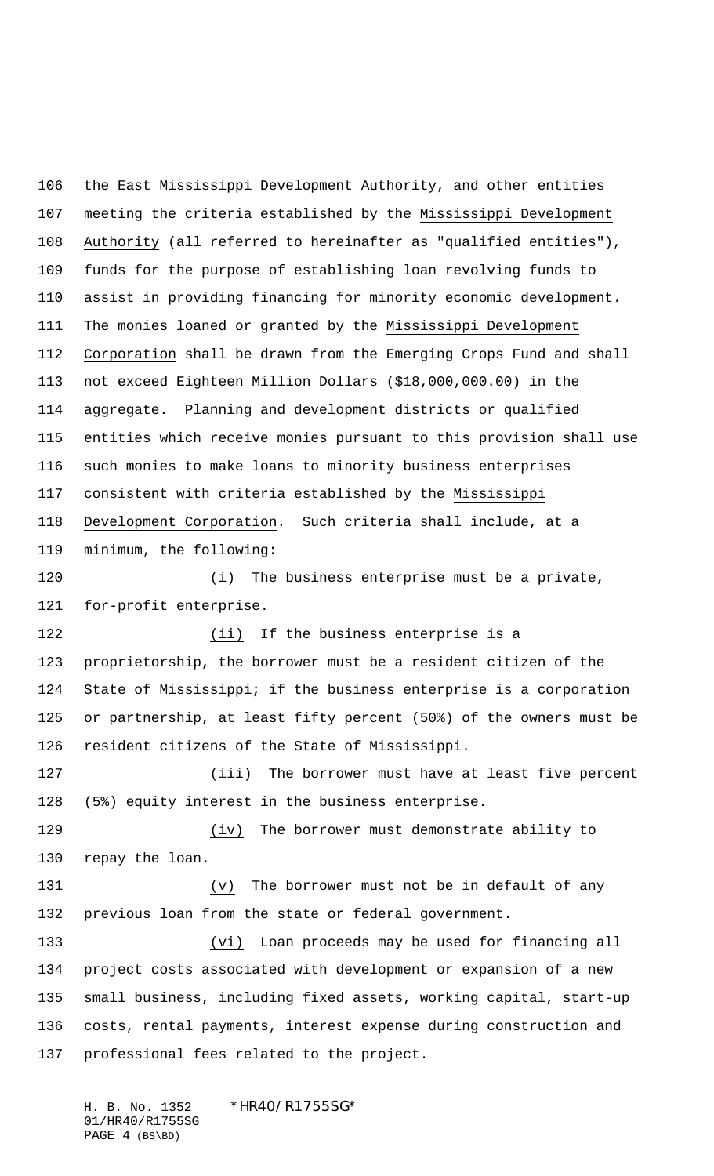the East Mississippi Development Authority, and other entities meeting the criteria established by the Mississippi Development Authority (all referred to hereinafter as "qualified entities"), funds for the purpose of establishing loan revolving funds to assist in providing financing for minority economic development. The monies loaned or granted by the Mississippi Development Corporation shall be drawn from the Emerging Crops Fund and shall not exceed Eighteen Million Dollars (\$18,000,000.00) in the aggregate. Planning and development districts or qualified entities which receive monies pursuant to this provision shall use such monies to make loans to minority business enterprises consistent with criteria established by the Mississippi Development Corporation. Such criteria shall include, at a minimum, the following: 120 (i) The business enterprise must be a private,

for-profit enterprise.

 (ii) If the business enterprise is a proprietorship, the borrower must be a resident citizen of the State of Mississippi; if the business enterprise is a corporation or partnership, at least fifty percent (50%) of the owners must be resident citizens of the State of Mississippi.

 (iii) The borrower must have at least five percent (5%) equity interest in the business enterprise.

 (iv) The borrower must demonstrate ability to repay the loan.

 (v) The borrower must not be in default of any previous loan from the state or federal government.

 (vi) Loan proceeds may be used for financing all project costs associated with development or expansion of a new small business, including fixed assets, working capital, start-up costs, rental payments, interest expense during construction and professional fees related to the project.

H. B. No. 1352 \*HR40/R1755SG\* 01/HR40/R1755SG PAGE 4 (BS\BD)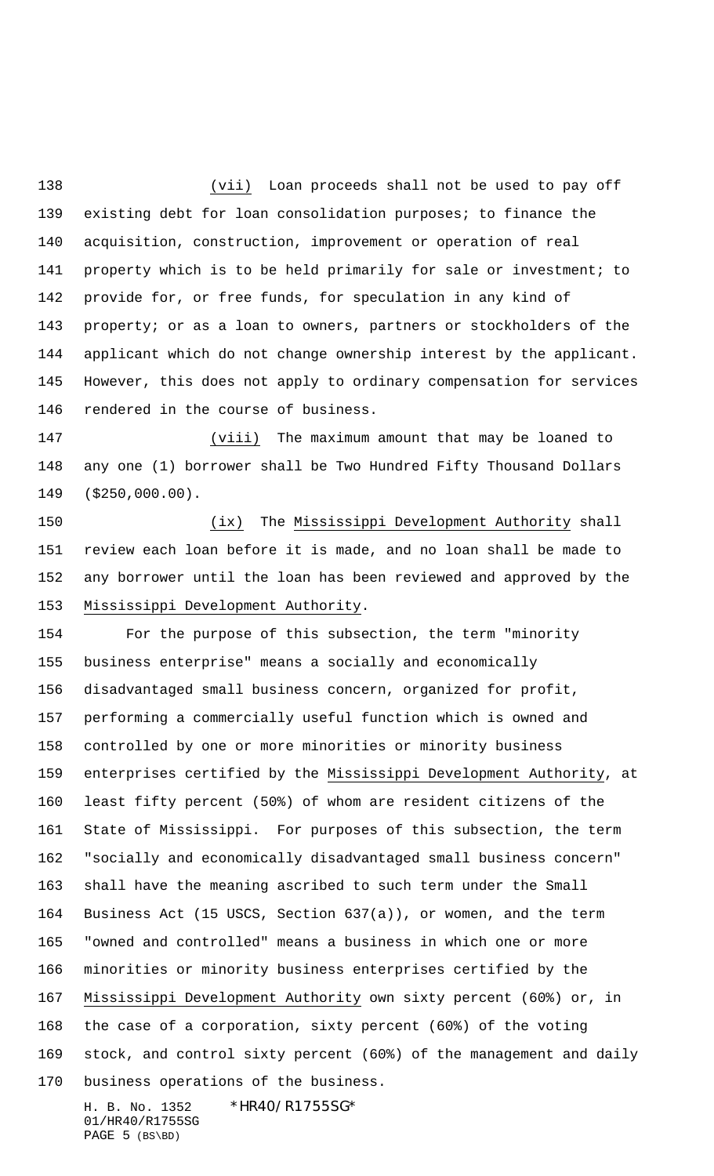(vii) Loan proceeds shall not be used to pay off existing debt for loan consolidation purposes; to finance the acquisition, construction, improvement or operation of real property which is to be held primarily for sale or investment; to provide for, or free funds, for speculation in any kind of 143 property; or as a loan to owners, partners or stockholders of the applicant which do not change ownership interest by the applicant. However, this does not apply to ordinary compensation for services rendered in the course of business.

 (viii) The maximum amount that may be loaned to any one (1) borrower shall be Two Hundred Fifty Thousand Dollars (\$250,000.00).

 (ix) The Mississippi Development Authority shall review each loan before it is made, and no loan shall be made to any borrower until the loan has been reviewed and approved by the Mississippi Development Authority.

 For the purpose of this subsection, the term "minority business enterprise" means a socially and economically disadvantaged small business concern, organized for profit, performing a commercially useful function which is owned and controlled by one or more minorities or minority business enterprises certified by the Mississippi Development Authority, at least fifty percent (50%) of whom are resident citizens of the State of Mississippi. For purposes of this subsection, the term "socially and economically disadvantaged small business concern" shall have the meaning ascribed to such term under the Small Business Act (15 USCS, Section 637(a)), or women, and the term "owned and controlled" means a business in which one or more minorities or minority business enterprises certified by the Mississippi Development Authority own sixty percent (60%) or, in the case of a corporation, sixty percent (60%) of the voting stock, and control sixty percent (60%) of the management and daily business operations of the business.

H. B. No. 1352 \*HR40/R1755SG\* 01/HR40/R1755SG PAGE 5 (BS\BD)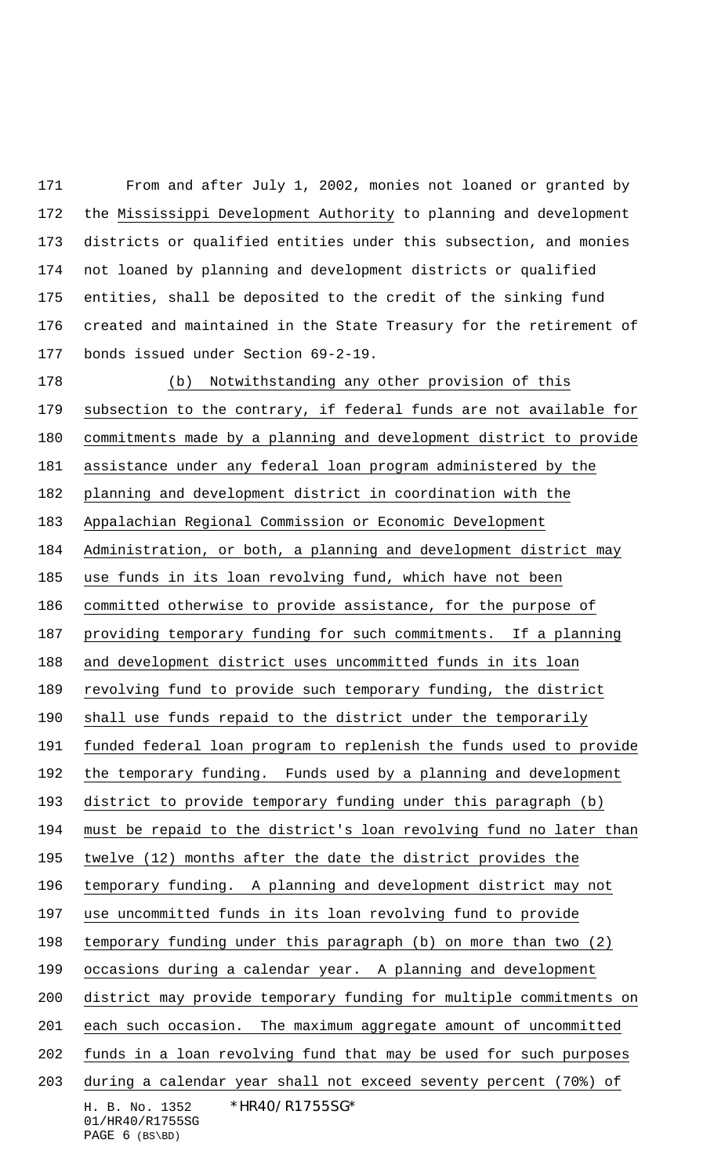From and after July 1, 2002, monies not loaned or granted by the Mississippi Development Authority to planning and development districts or qualified entities under this subsection, and monies not loaned by planning and development districts or qualified entities, shall be deposited to the credit of the sinking fund created and maintained in the State Treasury for the retirement of bonds issued under Section 69-2-19.

H. B. No. 1352 \*HR40/R1755SG\* 01/HR40/R1755SG PAGE (BS\BD) (b) Notwithstanding any other provision of this subsection to the contrary, if federal funds are not available for commitments made by a planning and development district to provide assistance under any federal loan program administered by the planning and development district in coordination with the Appalachian Regional Commission or Economic Development Administration, or both, a planning and development district may use funds in its loan revolving fund, which have not been committed otherwise to provide assistance, for the purpose of 187 providing temporary funding for such commitments. If a planning and development district uses uncommitted funds in its loan revolving fund to provide such temporary funding, the district shall use funds repaid to the district under the temporarily funded federal loan program to replenish the funds used to provide the temporary funding. Funds used by a planning and development district to provide temporary funding under this paragraph (b) 194 must be repaid to the district's loan revolving fund no later than twelve (12) months after the date the district provides the temporary funding. A planning and development district may not use uncommitted funds in its loan revolving fund to provide temporary funding under this paragraph (b) on more than two (2) occasions during a calendar year. A planning and development district may provide temporary funding for multiple commitments on each such occasion. The maximum aggregate amount of uncommitted funds in a loan revolving fund that may be used for such purposes during a calendar year shall not exceed seventy percent (70%) of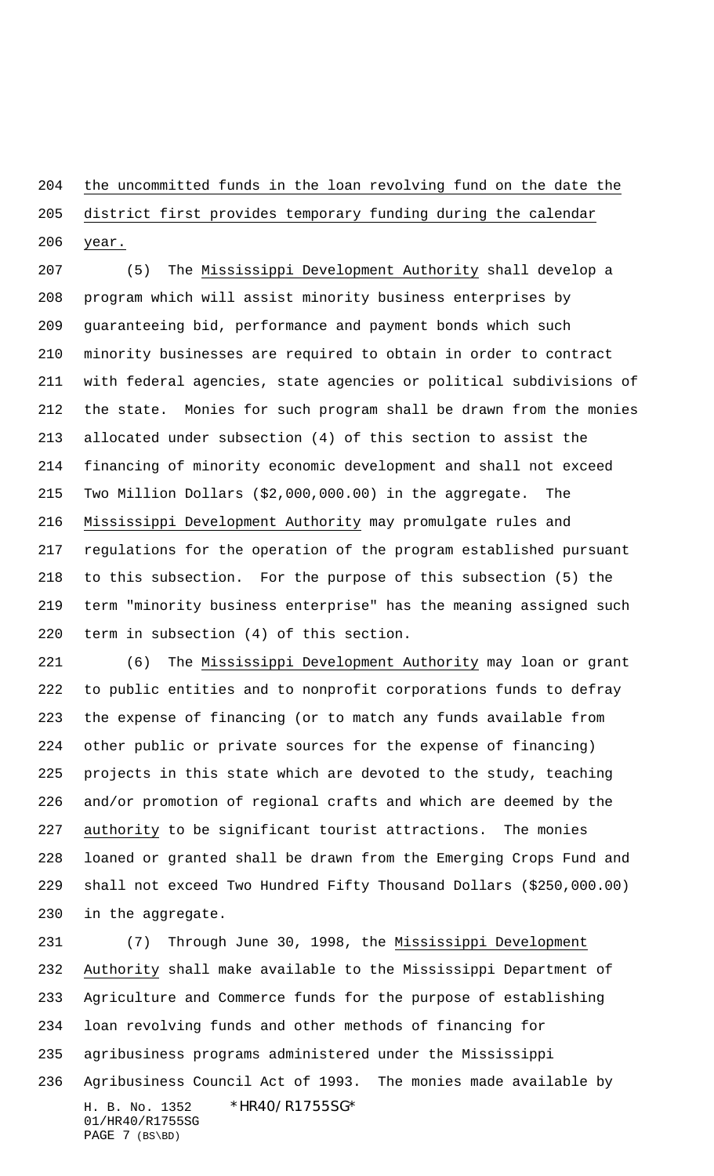## the uncommitted funds in the loan revolving fund on the date the

## district first provides temporary funding during the calendar year.

 (5) The Mississippi Development Authority shall develop a program which will assist minority business enterprises by guaranteeing bid, performance and payment bonds which such minority businesses are required to obtain in order to contract with federal agencies, state agencies or political subdivisions of the state. Monies for such program shall be drawn from the monies allocated under subsection (4) of this section to assist the financing of minority economic development and shall not exceed Two Million Dollars (\$2,000,000.00) in the aggregate. The Mississippi Development Authority may promulgate rules and regulations for the operation of the program established pursuant to this subsection. For the purpose of this subsection (5) the term "minority business enterprise" has the meaning assigned such term in subsection (4) of this section.

 (6) The Mississippi Development Authority may loan or grant to public entities and to nonprofit corporations funds to defray the expense of financing (or to match any funds available from other public or private sources for the expense of financing) projects in this state which are devoted to the study, teaching and/or promotion of regional crafts and which are deemed by the authority to be significant tourist attractions. The monies loaned or granted shall be drawn from the Emerging Crops Fund and shall not exceed Two Hundred Fifty Thousand Dollars (\$250,000.00) in the aggregate.

H. B. No. 1352 \*HR40/R1755SG\* 01/HR40/R1755SG PAGE 7 (BS\BD) (7) Through June 30, 1998, the Mississippi Development Authority shall make available to the Mississippi Department of Agriculture and Commerce funds for the purpose of establishing loan revolving funds and other methods of financing for agribusiness programs administered under the Mississippi Agribusiness Council Act of 1993. The monies made available by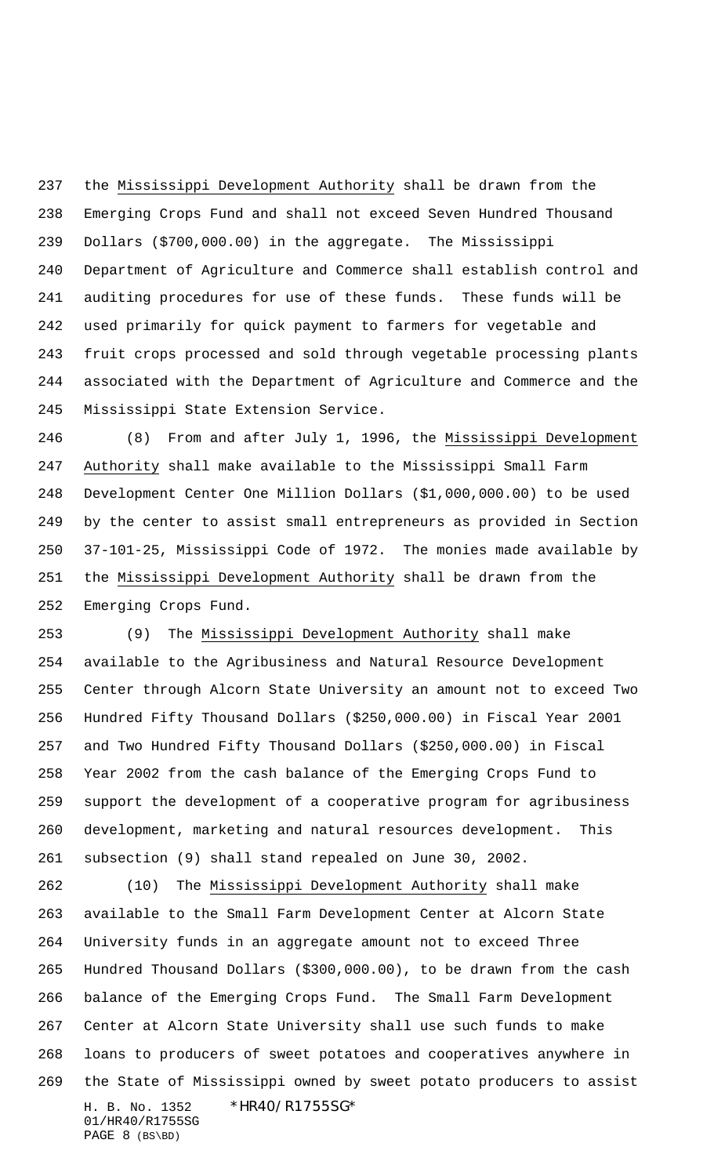the Mississippi Development Authority shall be drawn from the Emerging Crops Fund and shall not exceed Seven Hundred Thousand Dollars (\$700,000.00) in the aggregate. The Mississippi Department of Agriculture and Commerce shall establish control and auditing procedures for use of these funds. These funds will be used primarily for quick payment to farmers for vegetable and fruit crops processed and sold through vegetable processing plants associated with the Department of Agriculture and Commerce and the Mississippi State Extension Service.

 (8) From and after July 1, 1996, the Mississippi Development Authority shall make available to the Mississippi Small Farm Development Center One Million Dollars (\$1,000,000.00) to be used by the center to assist small entrepreneurs as provided in Section 37-101-25, Mississippi Code of 1972. The monies made available by the Mississippi Development Authority shall be drawn from the Emerging Crops Fund.

 (9) The Mississippi Development Authority shall make available to the Agribusiness and Natural Resource Development Center through Alcorn State University an amount not to exceed Two Hundred Fifty Thousand Dollars (\$250,000.00) in Fiscal Year 2001 and Two Hundred Fifty Thousand Dollars (\$250,000.00) in Fiscal Year 2002 from the cash balance of the Emerging Crops Fund to support the development of a cooperative program for agribusiness development, marketing and natural resources development. This subsection (9) shall stand repealed on June 30, 2002.

H. B. No. 1352 \*HR40/R1755SG\* 01/HR40/R1755SG PAGE 8 (BS\BD) (10) The Mississippi Development Authority shall make available to the Small Farm Development Center at Alcorn State University funds in an aggregate amount not to exceed Three Hundred Thousand Dollars (\$300,000.00), to be drawn from the cash balance of the Emerging Crops Fund. The Small Farm Development Center at Alcorn State University shall use such funds to make loans to producers of sweet potatoes and cooperatives anywhere in the State of Mississippi owned by sweet potato producers to assist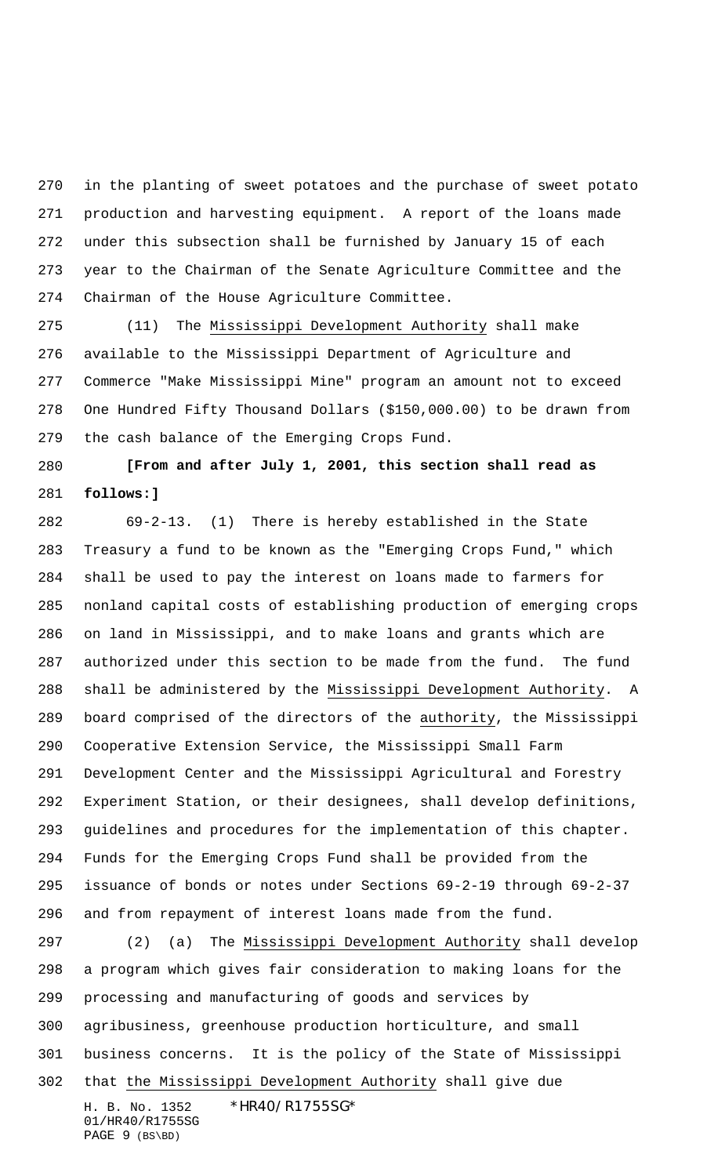in the planting of sweet potatoes and the purchase of sweet potato production and harvesting equipment. A report of the loans made under this subsection shall be furnished by January 15 of each year to the Chairman of the Senate Agriculture Committee and the Chairman of the House Agriculture Committee.

 (11) The Mississippi Development Authority shall make available to the Mississippi Department of Agriculture and Commerce "Make Mississippi Mine" program an amount not to exceed One Hundred Fifty Thousand Dollars (\$150,000.00) to be drawn from the cash balance of the Emerging Crops Fund.

 **[From and after July 1, 2001, this section shall read as follows:]**

 69-2-13. (1) There is hereby established in the State Treasury a fund to be known as the "Emerging Crops Fund," which shall be used to pay the interest on loans made to farmers for nonland capital costs of establishing production of emerging crops on land in Mississippi, and to make loans and grants which are authorized under this section to be made from the fund. The fund shall be administered by the Mississippi Development Authority. A board comprised of the directors of the authority, the Mississippi Cooperative Extension Service, the Mississippi Small Farm Development Center and the Mississippi Agricultural and Forestry Experiment Station, or their designees, shall develop definitions, guidelines and procedures for the implementation of this chapter. Funds for the Emerging Crops Fund shall be provided from the issuance of bonds or notes under Sections 69-2-19 through 69-2-37 and from repayment of interest loans made from the fund. (2) (a) The Mississippi Development Authority shall develop

H. B. No. 1352 \*HR40/R1755SG\* 01/HR40/R1755SG PAGE 9 (BS\BD) a program which gives fair consideration to making loans for the processing and manufacturing of goods and services by agribusiness, greenhouse production horticulture, and small business concerns. It is the policy of the State of Mississippi that the Mississippi Development Authority shall give due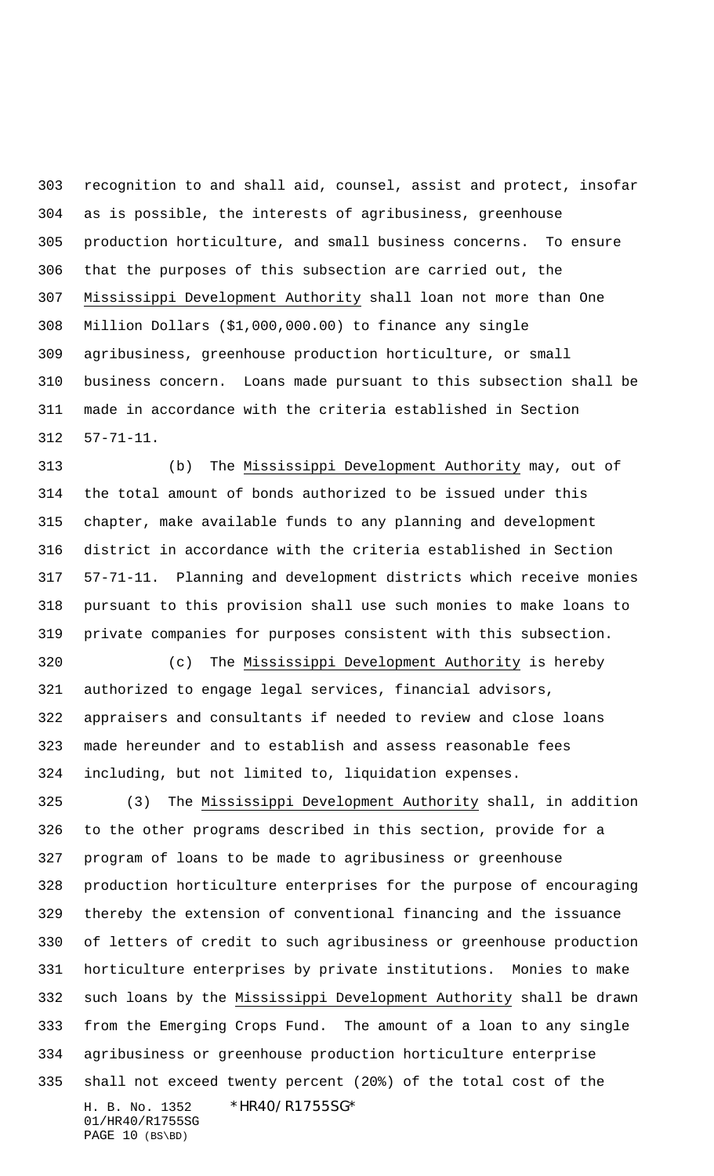recognition to and shall aid, counsel, assist and protect, insofar as is possible, the interests of agribusiness, greenhouse production horticulture, and small business concerns. To ensure that the purposes of this subsection are carried out, the Mississippi Development Authority shall loan not more than One Million Dollars (\$1,000,000.00) to finance any single agribusiness, greenhouse production horticulture, or small business concern. Loans made pursuant to this subsection shall be made in accordance with the criteria established in Section 57-71-11.

 (b) The Mississippi Development Authority may, out of the total amount of bonds authorized to be issued under this chapter, make available funds to any planning and development district in accordance with the criteria established in Section 57-71-11. Planning and development districts which receive monies pursuant to this provision shall use such monies to make loans to private companies for purposes consistent with this subsection.

320 (c) The Mississippi Development Authority is hereby authorized to engage legal services, financial advisors, appraisers and consultants if needed to review and close loans made hereunder and to establish and assess reasonable fees including, but not limited to, liquidation expenses.

H. B. No. 1352 \*HR40/R1755SG\* 01/HR40/R1755SG (3) The Mississippi Development Authority shall, in addition to the other programs described in this section, provide for a program of loans to be made to agribusiness or greenhouse production horticulture enterprises for the purpose of encouraging thereby the extension of conventional financing and the issuance of letters of credit to such agribusiness or greenhouse production horticulture enterprises by private institutions. Monies to make such loans by the Mississippi Development Authority shall be drawn from the Emerging Crops Fund. The amount of a loan to any single agribusiness or greenhouse production horticulture enterprise shall not exceed twenty percent (20%) of the total cost of the

```
PAGE 10 (BS\BD)
```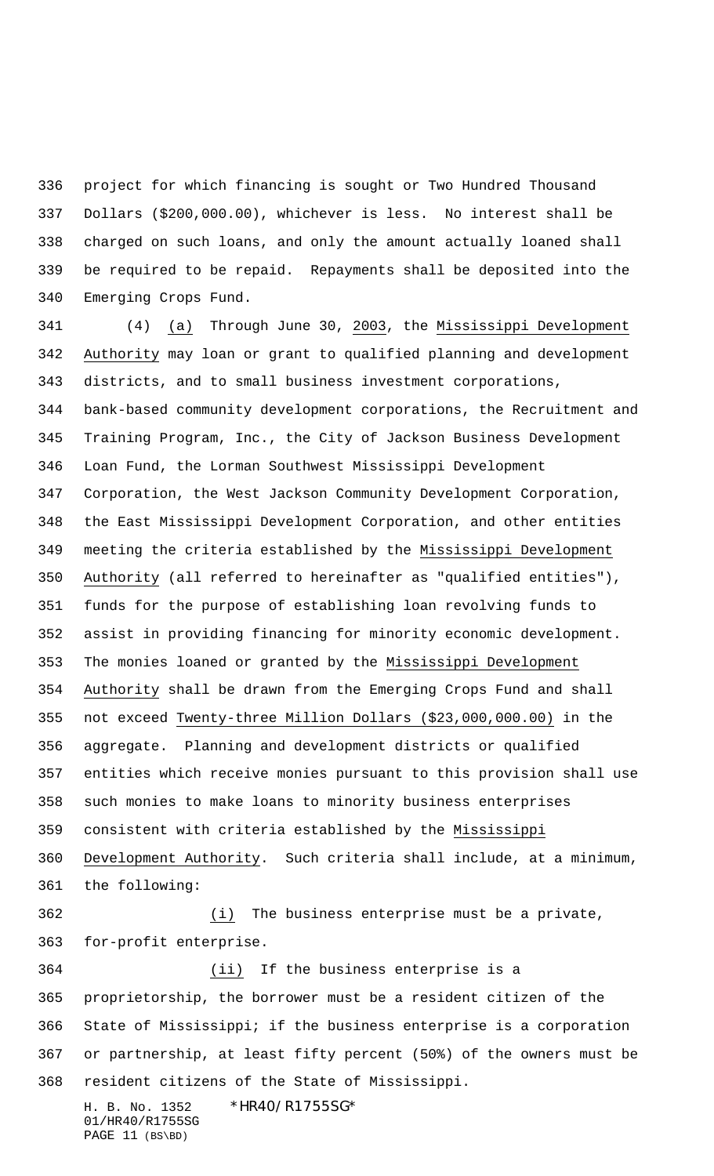project for which financing is sought or Two Hundred Thousand Dollars (\$200,000.00), whichever is less. No interest shall be charged on such loans, and only the amount actually loaned shall be required to be repaid. Repayments shall be deposited into the Emerging Crops Fund.

H. B. No. 1352 \*HR40/R1755SG\* (4) (a) Through June 30, 2003, the Mississippi Development Authority may loan or grant to qualified planning and development districts, and to small business investment corporations, bank-based community development corporations, the Recruitment and Training Program, Inc., the City of Jackson Business Development Loan Fund, the Lorman Southwest Mississippi Development Corporation, the West Jackson Community Development Corporation, the East Mississippi Development Corporation, and other entities meeting the criteria established by the Mississippi Development Authority (all referred to hereinafter as "qualified entities"), funds for the purpose of establishing loan revolving funds to assist in providing financing for minority economic development. The monies loaned or granted by the Mississippi Development Authority shall be drawn from the Emerging Crops Fund and shall not exceed Twenty-three Million Dollars (\$23,000,000.00) in the aggregate. Planning and development districts or qualified entities which receive monies pursuant to this provision shall use such monies to make loans to minority business enterprises consistent with criteria established by the Mississippi Development Authority. Such criteria shall include, at a minimum, the following: (i) The business enterprise must be a private, for-profit enterprise. (ii) If the business enterprise is a proprietorship, the borrower must be a resident citizen of the State of Mississippi; if the business enterprise is a corporation or partnership, at least fifty percent (50%) of the owners must be resident citizens of the State of Mississippi.

01/HR40/R1755SG PAGE 11 (BS\BD)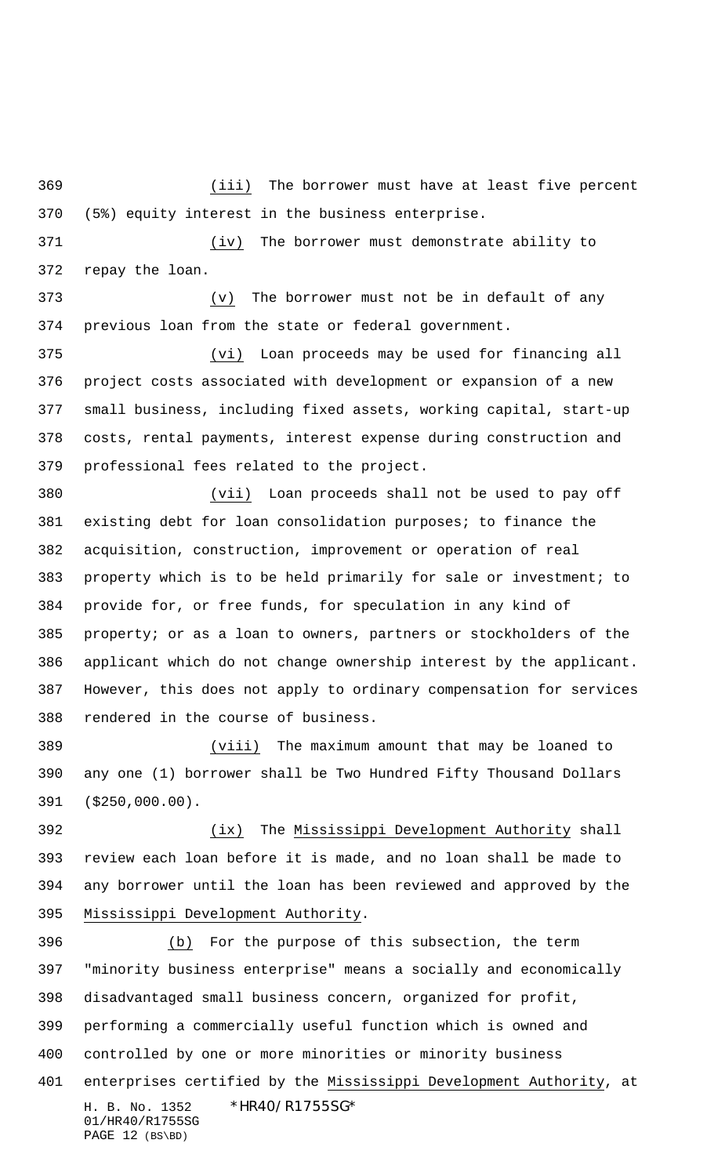(iii) The borrower must have at least five percent (5%) equity interest in the business enterprise.

 (iv) The borrower must demonstrate ability to repay the loan.

 (v) The borrower must not be in default of any previous loan from the state or federal government.

 (vi) Loan proceeds may be used for financing all project costs associated with development or expansion of a new small business, including fixed assets, working capital, start-up costs, rental payments, interest expense during construction and professional fees related to the project.

 (vii) Loan proceeds shall not be used to pay off existing debt for loan consolidation purposes; to finance the acquisition, construction, improvement or operation of real property which is to be held primarily for sale or investment; to provide for, or free funds, for speculation in any kind of property; or as a loan to owners, partners or stockholders of the applicant which do not change ownership interest by the applicant. However, this does not apply to ordinary compensation for services rendered in the course of business.

 (viii) The maximum amount that may be loaned to any one (1) borrower shall be Two Hundred Fifty Thousand Dollars (\$250,000.00).

 (ix) The Mississippi Development Authority shall review each loan before it is made, and no loan shall be made to any borrower until the loan has been reviewed and approved by the Mississippi Development Authority.

H. B. No. 1352 \*HR40/R1755SG\* 01/HR40/R1755SG PAGE 12 (BS\BD) (b) For the purpose of this subsection, the term "minority business enterprise" means a socially and economically disadvantaged small business concern, organized for profit, performing a commercially useful function which is owned and controlled by one or more minorities or minority business 401 enterprises certified by the Mississippi Development Authority, at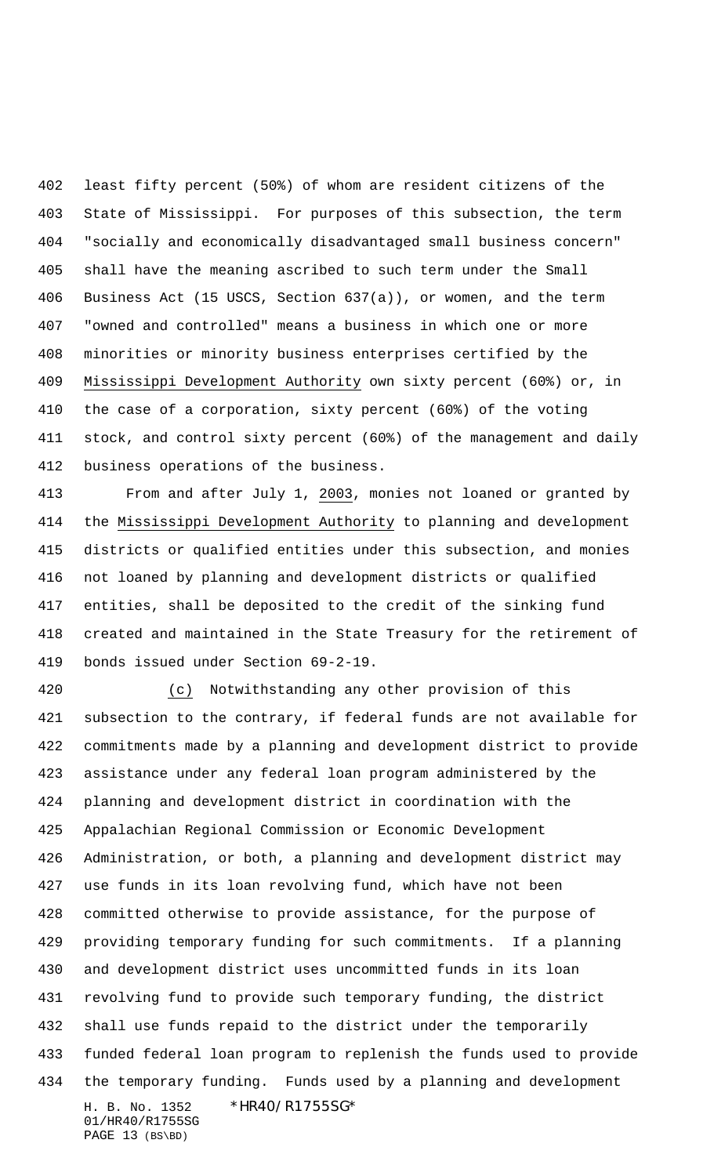least fifty percent (50%) of whom are resident citizens of the State of Mississippi. For purposes of this subsection, the term "socially and economically disadvantaged small business concern" shall have the meaning ascribed to such term under the Small Business Act (15 USCS, Section 637(a)), or women, and the term "owned and controlled" means a business in which one or more minorities or minority business enterprises certified by the Mississippi Development Authority own sixty percent (60%) or, in the case of a corporation, sixty percent (60%) of the voting stock, and control sixty percent (60%) of the management and daily business operations of the business.

 From and after July 1, 2003, monies not loaned or granted by the Mississippi Development Authority to planning and development districts or qualified entities under this subsection, and monies not loaned by planning and development districts or qualified entities, shall be deposited to the credit of the sinking fund created and maintained in the State Treasury for the retirement of bonds issued under Section 69-2-19.

H. B. No. 1352 \*HR40/R1755SG\* 01/HR40/R1755SG PAGE 13 (BS\BD) (c) Notwithstanding any other provision of this subsection to the contrary, if federal funds are not available for commitments made by a planning and development district to provide assistance under any federal loan program administered by the planning and development district in coordination with the Appalachian Regional Commission or Economic Development Administration, or both, a planning and development district may use funds in its loan revolving fund, which have not been committed otherwise to provide assistance, for the purpose of providing temporary funding for such commitments. If a planning and development district uses uncommitted funds in its loan revolving fund to provide such temporary funding, the district shall use funds repaid to the district under the temporarily funded federal loan program to replenish the funds used to provide the temporary funding. Funds used by a planning and development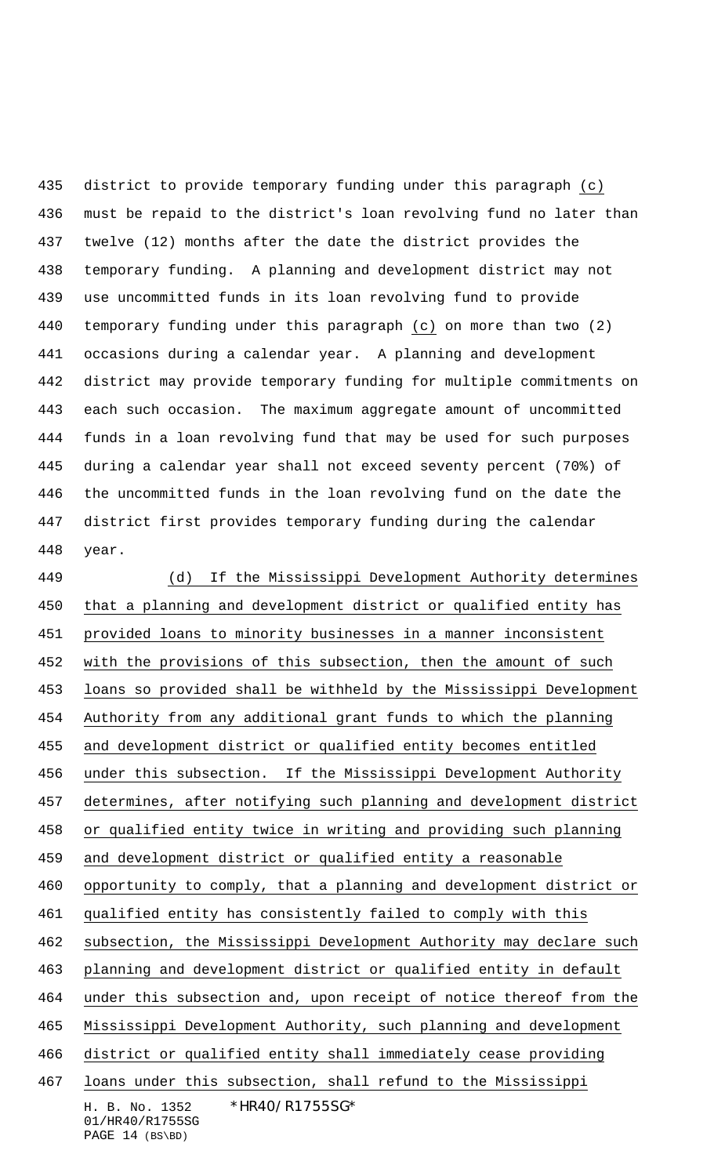district to provide temporary funding under this paragraph (c) must be repaid to the district's loan revolving fund no later than twelve (12) months after the date the district provides the temporary funding. A planning and development district may not use uncommitted funds in its loan revolving fund to provide temporary funding under this paragraph (c) on more than two (2) occasions during a calendar year. A planning and development district may provide temporary funding for multiple commitments on each such occasion. The maximum aggregate amount of uncommitted funds in a loan revolving fund that may be used for such purposes during a calendar year shall not exceed seventy percent (70%) of the uncommitted funds in the loan revolving fund on the date the district first provides temporary funding during the calendar year.

H. B. No. 1352 \*HR40/R1755SG\* 01/HR40/R1755SG (d) If the Mississippi Development Authority determines that a planning and development district or qualified entity has provided loans to minority businesses in a manner inconsistent 452 with the provisions of this subsection, then the amount of such loans so provided shall be withheld by the Mississippi Development Authority from any additional grant funds to which the planning and development district or qualified entity becomes entitled under this subsection. If the Mississippi Development Authority determines, after notifying such planning and development district or qualified entity twice in writing and providing such planning and development district or qualified entity a reasonable opportunity to comply, that a planning and development district or qualified entity has consistently failed to comply with this subsection, the Mississippi Development Authority may declare such planning and development district or qualified entity in default under this subsection and, upon receipt of notice thereof from the Mississippi Development Authority, such planning and development district or qualified entity shall immediately cease providing loans under this subsection, shall refund to the Mississippi

PAGE 14 (BS\BD)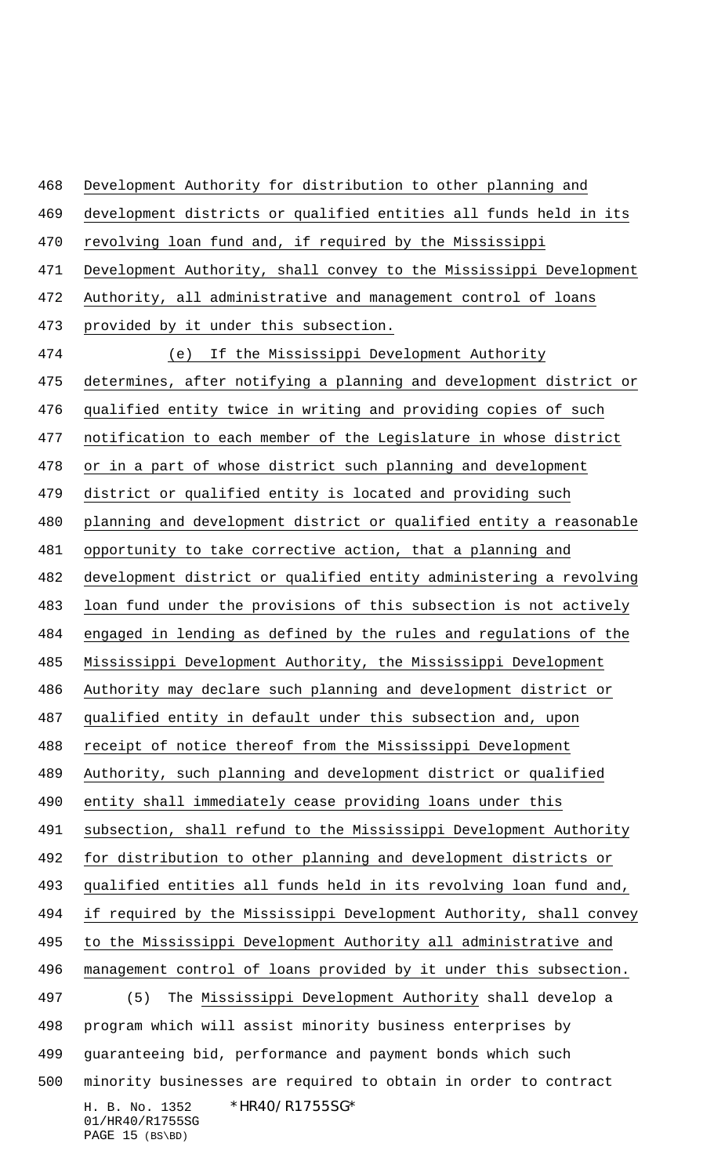H. B. No. 1352 \*HR40/R1755SG\* 01/HR40/R1755SG Development Authority for distribution to other planning and development districts or qualified entities all funds held in its revolving loan fund and, if required by the Mississippi Development Authority, shall convey to the Mississippi Development Authority, all administrative and management control of loans provided by it under this subsection. (e) If the Mississippi Development Authority determines, after notifying a planning and development district or qualified entity twice in writing and providing copies of such notification to each member of the Legislature in whose district or in a part of whose district such planning and development district or qualified entity is located and providing such planning and development district or qualified entity a reasonable opportunity to take corrective action, that a planning and development district or qualified entity administering a revolving loan fund under the provisions of this subsection is not actively engaged in lending as defined by the rules and regulations of the Mississippi Development Authority, the Mississippi Development Authority may declare such planning and development district or qualified entity in default under this subsection and, upon receipt of notice thereof from the Mississippi Development Authority, such planning and development district or qualified entity shall immediately cease providing loans under this 491 subsection, shall refund to the Mississippi Development Authority for distribution to other planning and development districts or qualified entities all funds held in its revolving loan fund and, if required by the Mississippi Development Authority, shall convey to the Mississippi Development Authority all administrative and management control of loans provided by it under this subsection. (5) The Mississippi Development Authority shall develop a program which will assist minority business enterprises by guaranteeing bid, performance and payment bonds which such minority businesses are required to obtain in order to contract

PAGE 15 (BS\BD)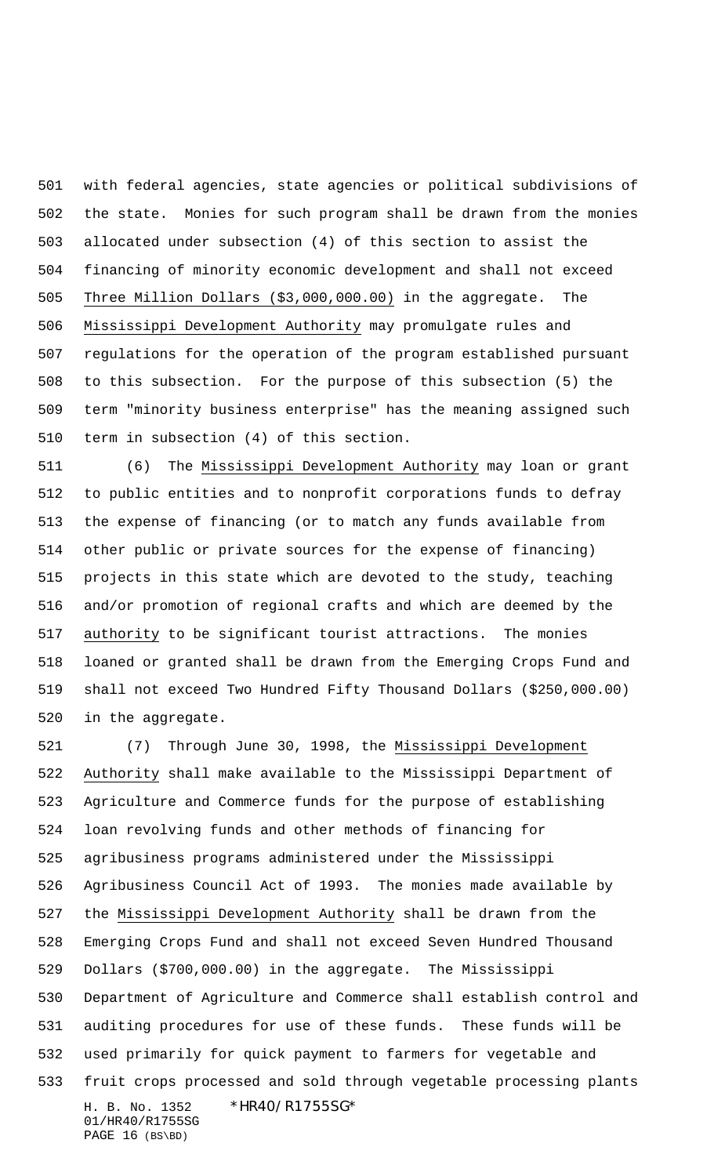with federal agencies, state agencies or political subdivisions of the state. Monies for such program shall be drawn from the monies allocated under subsection (4) of this section to assist the financing of minority economic development and shall not exceed Three Million Dollars (\$3,000,000.00) in the aggregate. The Mississippi Development Authority may promulgate rules and regulations for the operation of the program established pursuant to this subsection. For the purpose of this subsection (5) the term "minority business enterprise" has the meaning assigned such term in subsection (4) of this section.

 (6) The Mississippi Development Authority may loan or grant to public entities and to nonprofit corporations funds to defray the expense of financing (or to match any funds available from other public or private sources for the expense of financing) projects in this state which are devoted to the study, teaching and/or promotion of regional crafts and which are deemed by the authority to be significant tourist attractions. The monies loaned or granted shall be drawn from the Emerging Crops Fund and shall not exceed Two Hundred Fifty Thousand Dollars (\$250,000.00) in the aggregate.

H. B. No. 1352 \*HR40/R1755SG\* 01/HR40/R1755SG PAGE 16 (BS\BD) (7) Through June 30, 1998, the Mississippi Development Authority shall make available to the Mississippi Department of Agriculture and Commerce funds for the purpose of establishing loan revolving funds and other methods of financing for agribusiness programs administered under the Mississippi Agribusiness Council Act of 1993. The monies made available by the Mississippi Development Authority shall be drawn from the Emerging Crops Fund and shall not exceed Seven Hundred Thousand Dollars (\$700,000.00) in the aggregate. The Mississippi Department of Agriculture and Commerce shall establish control and auditing procedures for use of these funds. These funds will be used primarily for quick payment to farmers for vegetable and fruit crops processed and sold through vegetable processing plants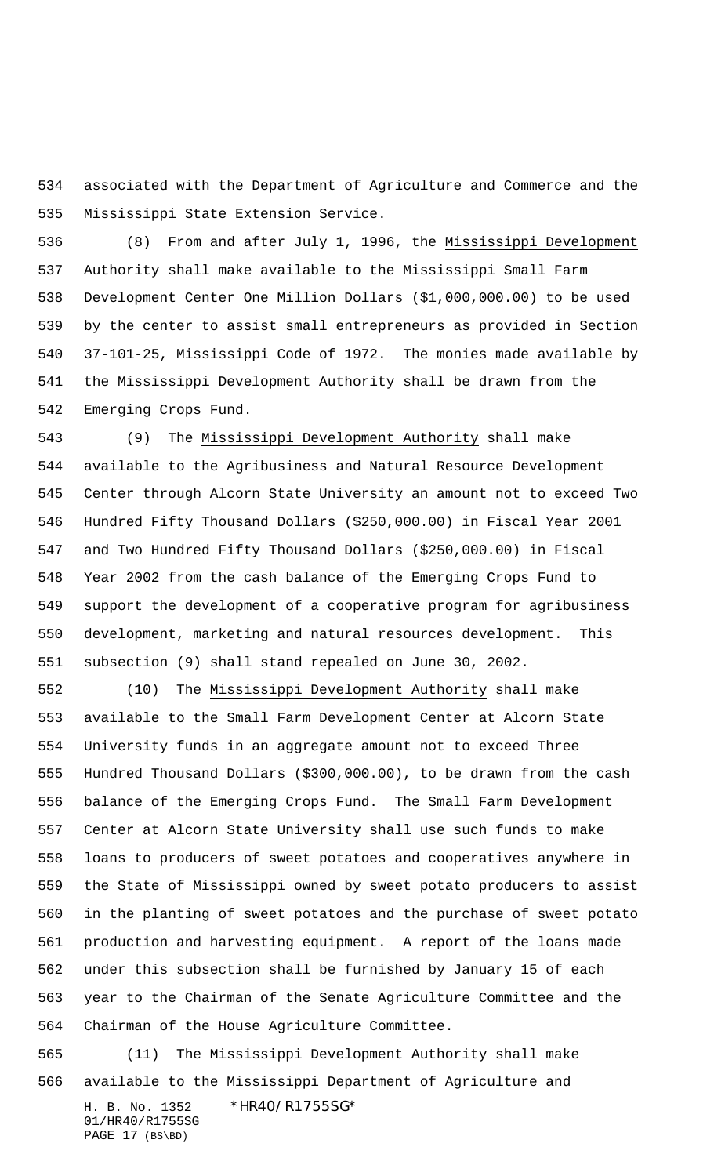associated with the Department of Agriculture and Commerce and the Mississippi State Extension Service.

536 (8) From and after July 1, 1996, the Mississippi Development Authority shall make available to the Mississippi Small Farm Development Center One Million Dollars (\$1,000,000.00) to be used by the center to assist small entrepreneurs as provided in Section 37-101-25, Mississippi Code of 1972. The monies made available by the Mississippi Development Authority shall be drawn from the Emerging Crops Fund.

 (9) The Mississippi Development Authority shall make available to the Agribusiness and Natural Resource Development Center through Alcorn State University an amount not to exceed Two Hundred Fifty Thousand Dollars (\$250,000.00) in Fiscal Year 2001 and Two Hundred Fifty Thousand Dollars (\$250,000.00) in Fiscal Year 2002 from the cash balance of the Emerging Crops Fund to support the development of a cooperative program for agribusiness development, marketing and natural resources development. This subsection (9) shall stand repealed on June 30, 2002.

 (10) The Mississippi Development Authority shall make available to the Small Farm Development Center at Alcorn State University funds in an aggregate amount not to exceed Three Hundred Thousand Dollars (\$300,000.00), to be drawn from the cash balance of the Emerging Crops Fund. The Small Farm Development Center at Alcorn State University shall use such funds to make loans to producers of sweet potatoes and cooperatives anywhere in the State of Mississippi owned by sweet potato producers to assist in the planting of sweet potatoes and the purchase of sweet potato production and harvesting equipment. A report of the loans made under this subsection shall be furnished by January 15 of each year to the Chairman of the Senate Agriculture Committee and the Chairman of the House Agriculture Committee.

H. B. No. 1352 \*HR40/R1755SG\* 01/HR40/R1755SG (11) The Mississippi Development Authority shall make available to the Mississippi Department of Agriculture and

PAGE 17 (BS\BD)